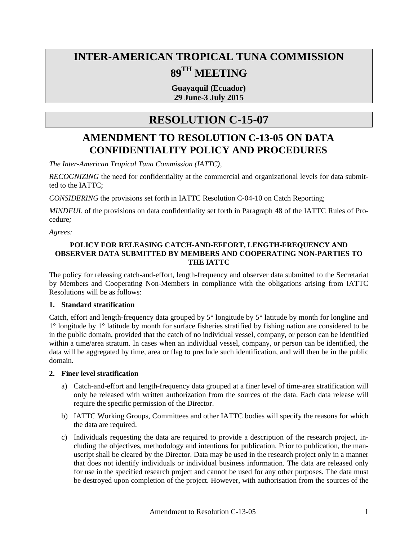# **INTER-AMERICAN TROPICAL TUNA COMMISSION 89TH MEETING**

**Guayaquil (Ecuador) 29 June-3 July 2015**

# **RESOLUTION C-15-07**

# **AMENDMENT TO RESOLUTION C-13-05 ON DATA CONFIDENTIALITY POLICY AND PROCEDURES**

*The Inter-American Tropical Tuna Commission (IATTC),*

*RECOGNIZING* the need for confidentiality at the commercial and organizational levels for data submitted to the IATTC;

*CONSIDERING* the provisions set forth in IATTC Resolution C-04-10 on Catch Reporting;

*MINDFUL* of the provisions on data confidentiality set forth in Paragraph 48 of the IATTC Rules of Procedure*;*

*Agrees:* 

### **POLICY FOR RELEASING CATCH-AND-EFFORT, LENGTH-FREQUENCY AND OBSERVER DATA SUBMITTED BY MEMBERS AND COOPERATING NON-PARTIES TO THE IATTC**

The policy for releasing catch-and-effort, length-frequency and observer data submitted to the Secretariat by Members and Cooperating Non-Members in compliance with the obligations arising from IATTC Resolutions will be as follows:

# **1. Standard stratification**

Catch, effort and length-frequency data grouped by 5° longitude by 5° latitude by month for longline and 1° longitude by 1° latitude by month for surface fisheries stratified by fishing nation are considered to be in the public domain, provided that the catch of no individual vessel, company, or person can be identified within a time/area stratum. In cases when an individual vessel, company, or person can be identified, the data will be aggregated by time, area or flag to preclude such identification, and will then be in the public domain.

#### **2. Finer level stratification**

- a) Catch-and-effort and length-frequency data grouped at a finer level of time-area stratification will only be released with written authorization from the sources of the data. Each data release will require the specific permission of the Director.
- b) IATTC Working Groups, Committees and other IATTC bodies will specify the reasons for which the data are required.
- c) Individuals requesting the data are required to provide a description of the research project, including the objectives, methodology and intentions for publication. Prior to publication, the manuscript shall be cleared by the Director. Data may be used in the research project only in a manner that does not identify individuals or individual business information. The data are released only for use in the specified research project and cannot be used for any other purposes. The data must be destroyed upon completion of the project. However, with authorisation from the sources of the